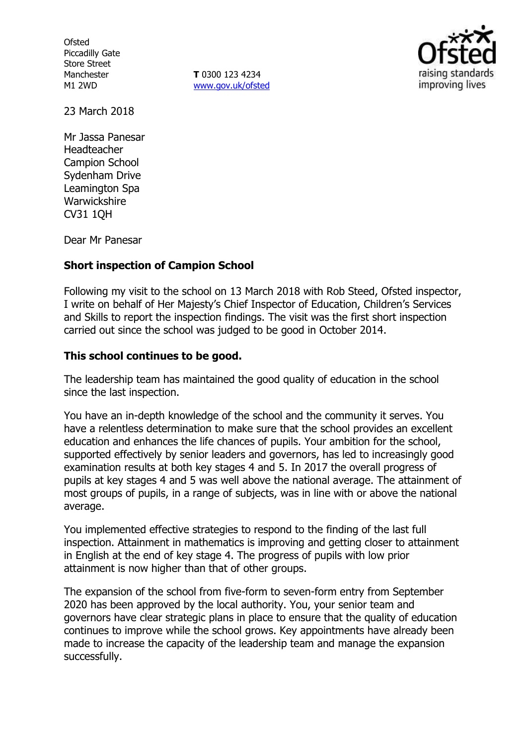**Ofsted** Piccadilly Gate Store Street Manchester M1 2WD

**T** 0300 123 4234 www.gov.uk/ofsted



23 March 2018

Mr Jassa Panesar Headteacher Campion School Sydenham Drive Leamington Spa **Warwickshire** CV31 1QH

Dear Mr Panesar

### **Short inspection of Campion School**

Following my visit to the school on 13 March 2018 with Rob Steed, Ofsted inspector, I write on behalf of Her Majesty's Chief Inspector of Education, Children's Services and Skills to report the inspection findings. The visit was the first short inspection carried out since the school was judged to be good in October 2014.

#### **This school continues to be good.**

The leadership team has maintained the good quality of education in the school since the last inspection.

You have an in-depth knowledge of the school and the community it serves. You have a relentless determination to make sure that the school provides an excellent education and enhances the life chances of pupils. Your ambition for the school, supported effectively by senior leaders and governors, has led to increasingly good examination results at both key stages 4 and 5. In 2017 the overall progress of pupils at key stages 4 and 5 was well above the national average. The attainment of most groups of pupils, in a range of subjects, was in line with or above the national average.

You implemented effective strategies to respond to the finding of the last full inspection. Attainment in mathematics is improving and getting closer to attainment in English at the end of key stage 4. The progress of pupils with low prior attainment is now higher than that of other groups.

The expansion of the school from five-form to seven-form entry from September 2020 has been approved by the local authority. You, your senior team and governors have clear strategic plans in place to ensure that the quality of education continues to improve while the school grows. Key appointments have already been made to increase the capacity of the leadership team and manage the expansion successfully.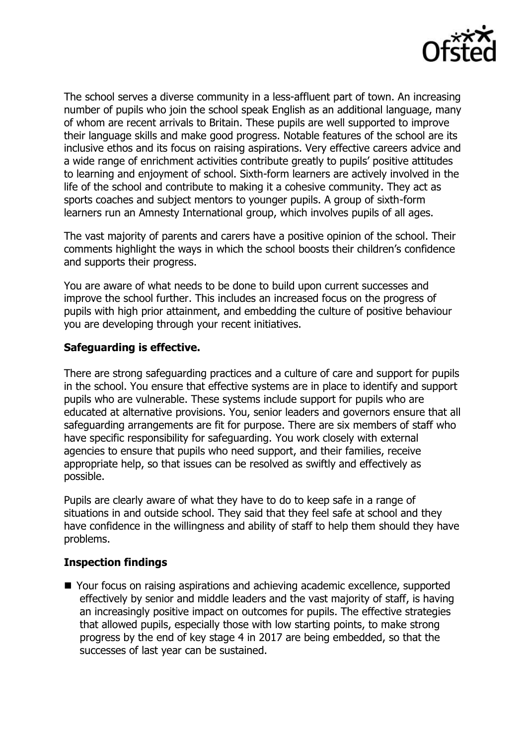

The school serves a diverse community in a less-affluent part of town. An increasing number of pupils who join the school speak English as an additional language, many of whom are recent arrivals to Britain. These pupils are well supported to improve their language skills and make good progress. Notable features of the school are its inclusive ethos and its focus on raising aspirations. Very effective careers advice and a wide range of enrichment activities contribute greatly to pupils' positive attitudes to learning and enjoyment of school. Sixth-form learners are actively involved in the life of the school and contribute to making it a cohesive community. They act as sports coaches and subject mentors to younger pupils. A group of sixth-form learners run an Amnesty International group, which involves pupils of all ages.

The vast majority of parents and carers have a positive opinion of the school. Their comments highlight the ways in which the school boosts their children's confidence and supports their progress.

You are aware of what needs to be done to build upon current successes and improve the school further. This includes an increased focus on the progress of pupils with high prior attainment, and embedding the culture of positive behaviour you are developing through your recent initiatives.

# **Safeguarding is effective.**

There are strong safeguarding practices and a culture of care and support for pupils in the school. You ensure that effective systems are in place to identify and support pupils who are vulnerable. These systems include support for pupils who are educated at alternative provisions. You, senior leaders and governors ensure that all safeguarding arrangements are fit for purpose. There are six members of staff who have specific responsibility for safeguarding. You work closely with external agencies to ensure that pupils who need support, and their families, receive appropriate help, so that issues can be resolved as swiftly and effectively as possible.

Pupils are clearly aware of what they have to do to keep safe in a range of situations in and outside school. They said that they feel safe at school and they have confidence in the willingness and ability of staff to help them should they have problems.

### **Inspection findings**

■ Your focus on raising aspirations and achieving academic excellence, supported effectively by senior and middle leaders and the vast majority of staff, is having an increasingly positive impact on outcomes for pupils. The effective strategies that allowed pupils, especially those with low starting points, to make strong progress by the end of key stage 4 in 2017 are being embedded, so that the successes of last year can be sustained.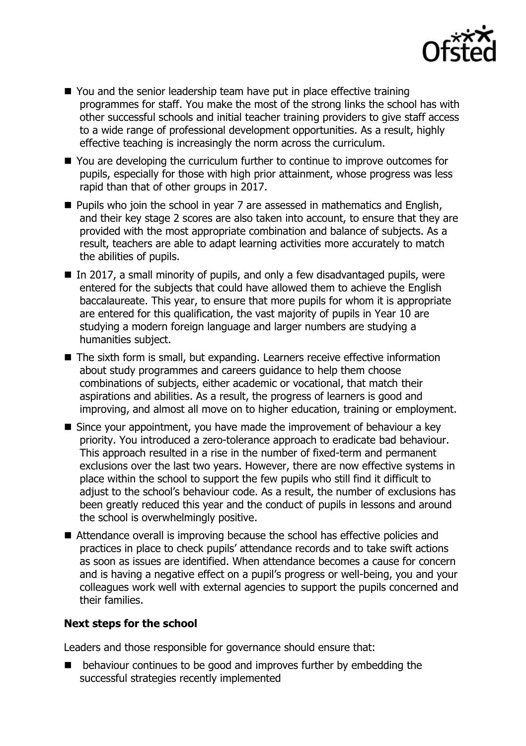

- You and the senior leadership team have put in place effective training programmes for staff. You make the most of the strong links the school has with other successful schools and initial teacher training providers to give staff access to a wide range of professional development opportunities. As a result, highly effective teaching is increasingly the norm across the curriculum.
- You are developing the curriculum further to continue to improve outcomes for pupils, especially for those with high prior attainment, whose progress was less rapid than that of other groups in 2017.
- **Pupils who join the school in year 7 are assessed in mathematics and English,** and their key stage 2 scores are also taken into account, to ensure that they are provided with the most appropriate combination and balance of subjects. As a result, teachers are able to adapt learning activities more accurately to match the abilities of pupils.
- In 2017, a small minority of pupils, and only a few disadvantaged pupils, were entered for the subjects that could have allowed them to achieve the English baccalaureate. This year, to ensure that more pupils for whom it is appropriate are entered for this qualification, the vast majority of pupils in Year 10 are studying a modern foreign language and larger numbers are studying a humanities subject.
- The sixth form is small, but expanding. Learners receive effective information about study programmes and careers guidance to help them choose combinations of subjects, either academic or vocational, that match their aspirations and abilities. As a result, the progress of learners is good and improving, and almost all move on to higher education, training or employment.
- Since your appointment, you have made the improvement of behaviour a key priority. You introduced a zero-tolerance approach to eradicate bad behaviour. This approach resulted in a rise in the number of fixed-term and permanent exclusions over the last two years. However, there are now effective systems in place within the school to support the few pupils who still find it difficult to adjust to the school's behaviour code. As a result, the number of exclusions has been greatly reduced this year and the conduct of pupils in lessons and around the school is overwhelmingly positive.
- Attendance overall is improving because the school has effective policies and practices in place to check pupils' attendance records and to take swift actions as soon as issues are identified. When attendance becomes a cause for concern and is having a negative effect on a pupil's progress or well-being, you and your colleagues work well with external agencies to support the pupils concerned and their families.

### **Next steps for the school**

Leaders and those responsible for governance should ensure that:

**E** behaviour continues to be good and improves further by embedding the successful strategies recently implemented